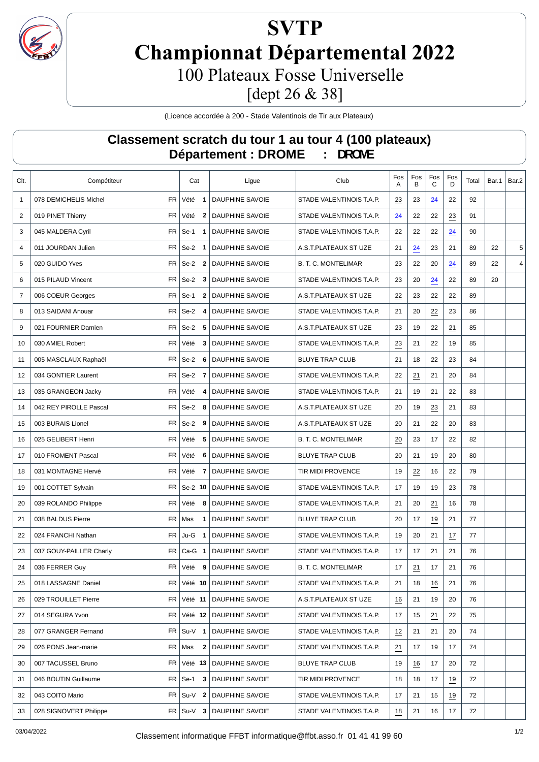

## **SVTP Championnat Départemental 2022** 100 Plateaux Fosse Universelle

[dept 26 & 38]

(Licence accordée à 200 - Stade Valentinois de Tir aux Plateaux)

## **Classement scratch du tour 1 au tour 4 (100 plateaux) Département : DROME : DROME**

| Clt.           | Compétiteur             |           | Cat                       | Ligue                        | Club                       | Fos<br>Α        | Fos<br>в        | Fos<br>С | Fos<br>D        | Total | Bar.1 | Bar.2 |
|----------------|-------------------------|-----------|---------------------------|------------------------------|----------------------------|-----------------|-----------------|----------|-----------------|-------|-------|-------|
| $\mathbf{1}$   | 078 DEMICHELIS Michel   | <b>FR</b> | Vété<br>$\mathbf 1$       | <b>DAUPHINE SAVOIE</b>       | STADE VALENTINOIS T.A.P.   | $\frac{23}{2}$  | 23              | 24       | 22              | 92    |       |       |
| 2              | 019 PINET Thierry       | <b>FR</b> | Vété<br>$\mathbf{2}$      | <b>DAUPHINE SAVOIE</b>       | STADE VALENTINOIS T.A.P.   | 24              | 22              | 22       | $\overline{23}$ | 91    |       |       |
| 3              | 045 MALDERA Cyril       | <b>FR</b> | $Se-1$<br>1               | <b>DAUPHINE SAVOIE</b>       | STADE VALENTINOIS T.A.P.   | 22              | 22              | 22       | 24              | 90    |       |       |
| 4              | 011 JOURDAN Julien      | <b>FR</b> | $Se-2$<br>$\mathbf 1$     | <b>DAUPHINE SAVOIE</b>       | A.S.T.PLATEAUX ST UZE      | 21              | $\overline{24}$ | 23       | 21              | 89    | 22    | 5     |
| 5              | 020 GUIDO Yves          | FR        | Se-2<br>$\overline{2}$    | <b>DAUPHINE SAVOIE</b>       | <b>B. T. C. MONTELIMAR</b> | 23              | 22              | 20       | 24              | 89    | 22    | 4     |
| 6              | 015 PILAUD Vincent      | FR        | $Se-2$<br>3               | <b>DAUPHINE SAVOIE</b>       | STADE VALENTINOIS T.A.P.   | 23              | 20              | 24       | 22              | 89    | 20    |       |
| $\overline{7}$ | 006 COEUR Georges       |           | $FR$ Se-1<br>$\mathbf{2}$ | <b>DAUPHINE SAVOIE</b>       | A.S.T.PLATEAUX ST UZE      | $\overline{22}$ | 23              | 22       | 22              | 89    |       |       |
| 8              | 013 SAIDANI Anouar      |           | $FR$ Se-2<br>4            | DAUPHINE SAVOIE              | STADE VALENTINOIS T.A.P.   | 21              | 20              | 22       | 23              | 86    |       |       |
| 9              | 021 FOURNIER Damien     |           | $FR$ Se-2<br>5            | <b>DAUPHINE SAVOIE</b>       | A.S.T.PLATEAUX ST UZE      | 23              | 19              | 22       | 21              | 85    |       |       |
| 10             | 030 AMIEL Robert        | FR        | Vété<br>3                 | <b>DAUPHINE SAVOIE</b>       | STADE VALENTINOIS T.A.P.   | $\overline{23}$ | 21              | 22       | 19              | 85    |       |       |
| 11             | 005 MASCLAUX Raphaël    | FR        | $Se-2$<br>6               | DAUPHINE SAVOIE              | <b>BLUYE TRAP CLUB</b>     | 21              | 18              | 22       | 23              | 84    |       |       |
| 12             | 034 GONTIER Laurent     | <b>FR</b> | $Se-2$<br>-7              | DAUPHINE SAVOIE              | STADE VALENTINOIS T.A.P.   | 22              | 21              | 21       | 20              | 84    |       |       |
| 13             | 035 GRANGEON Jacky      | <b>FR</b> | Vété<br>4                 | DAUPHINE SAVOIE              | STADE VALENTINOIS T.A.P.   | 21              | 19              | 21       | 22              | 83    |       |       |
| 14             | 042 REY PIROLLE Pascal  | <b>FR</b> | Se-2<br>8                 | <b>DAUPHINE SAVOIE</b>       | A.S.T.PLATEAUX ST UZE      | 20              | 19              | 23       | 21              | 83    |       |       |
| 15             | 003 BURAIS Lionel       |           | $FR$ Se-2<br>9            | <b>DAUPHINE SAVOIE</b>       | A.S.T.PLATEAUX ST UZE      | 20              | 21              | 22       | 20              | 83    |       |       |
| 16             | 025 GELIBERT Henri      | <b>FR</b> | Vété<br>5                 | DAUPHINE SAVOIE              | <b>B. T. C. MONTELIMAR</b> | 20              | 23              | 17       | 22              | 82    |       |       |
| 17             | 010 FROMENT Pascal      | <b>FR</b> | Vété<br>6                 | DAUPHINE SAVOIE              | <b>BLUYE TRAP CLUB</b>     | 20              | 21              | 19       | 20              | 80    |       |       |
| 18             | 031 MONTAGNE Hervé      | <b>FR</b> | Vété<br>7                 | <b>DAUPHINE SAVOIE</b>       | <b>TIR MIDI PROVENCE</b>   | 19              | 22              | 16       | 22              | 79    |       |       |
| 19             | 001 COTTET Sylvain      |           | $FR$ Se-2 10              | <b>DAUPHINE SAVOIE</b>       | STADE VALENTINOIS T.A.P.   | 17              | 19              | 19       | 23              | 78    |       |       |
| 20             | 039 ROLANDO Philippe    | <b>FR</b> | Vété<br>8                 | <b>DAUPHINE SAVOIE</b>       | STADE VALENTINOIS T.A.P.   | 21              | 20              | 21       | 16              | 78    |       |       |
| 21             | 038 BALDUS Pierre       | <b>FR</b> | Mas<br>1                  | DAUPHINE SAVOIE              | <b>BLUYE TRAP CLUB</b>     | 20              | 17              | 19       | 21              | 77    |       |       |
| 22             | 024 FRANCHI Nathan      | <b>FR</b> | $Ju-G$<br>1               | <b>DAUPHINE SAVOIE</b>       | STADE VALENTINOIS T.A.P.   | 19              | 20              | 21       | 17              | 77    |       |       |
| 23             | 037 GOUY-PAILLER Charly | <b>FR</b> | $Ca-G$ 1                  | <b>DAUPHINE SAVOIE</b>       | STADE VALENTINOIS T.A.P.   | 17              | 17              | 21       | 21              | 76    |       |       |
| 24             | 036 FERRER Guy          |           | FR Vété<br>9              | <b>DAUPHINE SAVOIE</b>       | <b>B. T. C. MONTELIMAR</b> | 17              | 21              | 17       | 21              | 76    |       |       |
| 25             | 018 LASSAGNE Daniel     | FR        | Vété 10                   | DAUPHINE SAVOIE              | STADE VALENTINOIS T.A.P.   | 21              | 18              | 16       | 21              | 76    |       |       |
| 26             | 029 TROUILLET Pierre    |           | FR Vété 11                | <b>DAUPHINE SAVOIE</b>       | A.S.T.PLATEAUX ST UZE      | 16              | 21              | 19       | 20              | 76    |       |       |
| 27             | 014 SEGURA Yvon         |           |                           | FR Vété 12   DAUPHINE SAVOIE | STADE VALENTINOIS T.A.P.   | 17              | 15              | 21       | 22              | 75    |       |       |
| 28             | 077 GRANGER Fernand     |           | $FR$ Su-V 1               | <b>DAUPHINE SAVOIE</b>       | STADE VALENTINOIS T.A.P.   | 12              | 21              | 21       | 20              | 74    |       |       |
| 29             | 026 PONS Jean-marie     |           | FR   Mas<br>2             | DAUPHINE SAVOIE              | STADE VALENTINOIS T.A.P.   | 21              | 17              | 19       | 17              | 74    |       |       |
| 30             | 007 TACUSSEL Bruno      |           | $FR$ Vété 13              | DAUPHINE SAVOIE              | <b>BLUYE TRAP CLUB</b>     | 19              | 16              | 17       | 20              | 72    |       |       |
| 31             | 046 BOUTIN Guillaume    |           | $FR \mid$ Se-1<br>3       | DAUPHINE SAVOIE              | TIR MIDI PROVENCE          | 18              | 18              | 17       | $\frac{19}{2}$  | 72    |       |       |
| 32             | 043 COITO Mario         |           | $FR$ Su-V 2               | DAUPHINE SAVOIE              | STADE VALENTINOIS T.A.P.   | 17              | 21              | 15       | 19              | 72    |       |       |
| 33             | 028 SIGNOVERT Philippe  |           | $FR$ Su-V 3               | DAUPHINE SAVOIE              | STADE VALENTINOIS T.A.P.   | 18              | 21              | 16       | 17              | 72    |       |       |